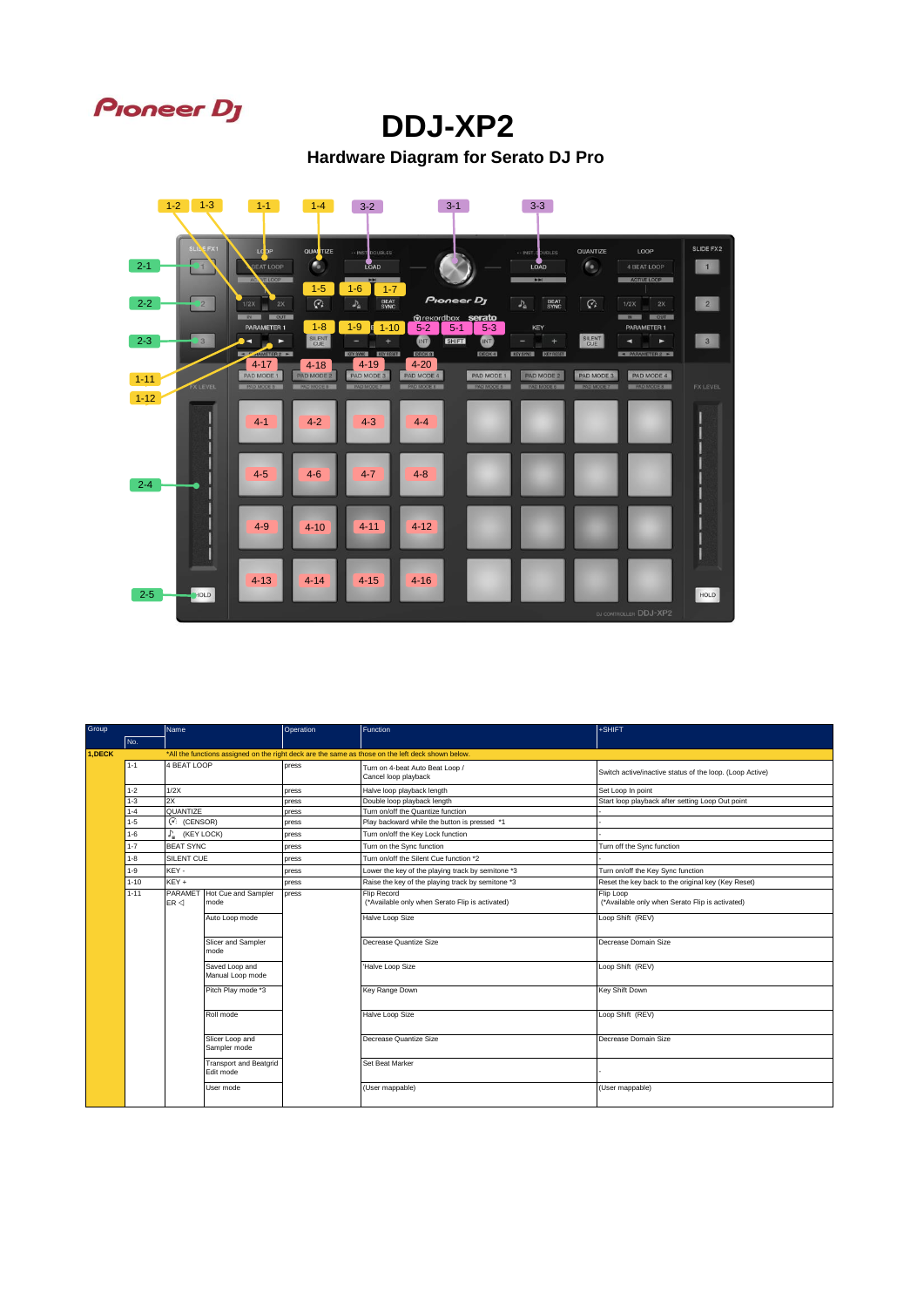

## **DDJ-XP2**

**Hardware Diagram for Serato DJ Pro**



| Group  |          | Name                          |                                     | Operation | Function                                                                                          | +SHIFT                                                       |
|--------|----------|-------------------------------|-------------------------------------|-----------|---------------------------------------------------------------------------------------------------|--------------------------------------------------------------|
|        | No.      |                               |                                     |           |                                                                                                   |                                                              |
| 1,DECK |          |                               |                                     |           | *All the functions assigned on the right deck are the same as those on the left deck shown below. |                                                              |
|        | $1 - 1$  | 4 BEAT LOOP                   |                                     | press     | Turn on 4-beat Auto Beat Loop /<br>Cancel loop playback                                           | Switch active/inactive status of the loop. (Loop Active)     |
|        | $1 - 2$  | 1/2X                          |                                     | press     | Halve loop playback length                                                                        | Set Loop In point                                            |
|        | $1 - 3$  | 2X                            |                                     | press     | Double loop playback length                                                                       | Start loop playback after setting Loop Out point             |
|        | $1 - 4$  | QUANTIZE                      |                                     | press     | Turn on/off the Quantize function                                                                 |                                                              |
|        | $1 - 5$  | $\binom{C}{1}$ (CENSOR)       |                                     | press     | Play backward while the button is pressed *1                                                      |                                                              |
|        | $1 - 6$  | r.<br>(KEY LOCK)              |                                     | press     | Turn on/off the Key Lock function                                                                 |                                                              |
|        | $1 - 7$  | <b>BEAT SYNC</b>              |                                     | press     | Turn on the Sync function                                                                         | Turn off the Sync function                                   |
|        | $1 - 8$  | SILENT CUE                    |                                     | press     | Turn on/off the Silent Cue function *2                                                            |                                                              |
|        | $1 - 9$  | KEY-                          |                                     | press     | Lower the key of the playing track by semitone *3                                                 | Turn on/off the Key Sync function                            |
|        | $1 - 10$ | KEY +                         |                                     | press     | Raise the key of the playing track by semitone *3                                                 | Reset the key back to the original key (Key Reset)           |
|        | $1 - 11$ | PARAMET<br>$ER \triangleleft$ | Hot Cue and Sampler<br>mode         | press     | Flip Record<br>(*Available only when Serato Flip is activated)                                    | Flip Loop<br>(*Available only when Serato Flip is activated) |
|        |          |                               | Auto Loop mode                      |           | Halve Loop Size                                                                                   | Loop Shift (REV)                                             |
|        |          |                               | Slicer and Sampler<br>mode          |           | Decrease Quantize Size                                                                            | Decrease Domain Size                                         |
|        |          |                               | Saved Loop and<br>Manual Loop mode  |           | 'Halve Loop Size                                                                                  | Loop Shift (REV)                                             |
|        |          |                               | Pitch Play mode *3                  |           | Key Range Down                                                                                    | Key Shift Down                                               |
|        |          |                               | Roll mode                           |           | Halve Loop Size                                                                                   | Loop Shift (REV)                                             |
|        |          |                               | Slicer Loop and<br>Sampler mode     |           | Decrease Quantize Size                                                                            | Decrease Domain Size                                         |
|        |          |                               | Transport and Beatgrid<br>Edit mode |           | Set Beat Marker                                                                                   |                                                              |
|        |          |                               | User mode                           |           | (User mappable)                                                                                   | (User mappable)                                              |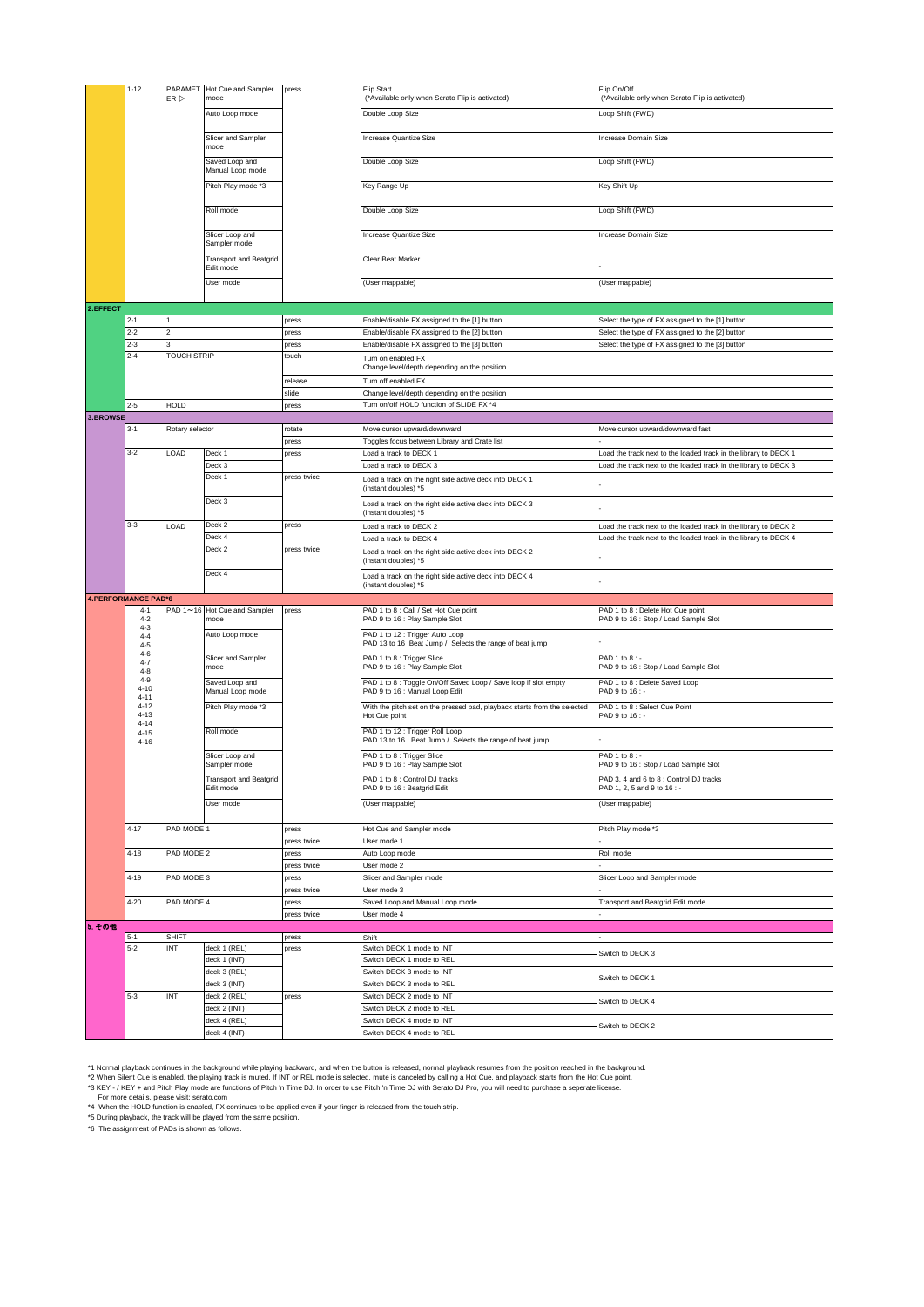|          | $1 - 12$                   |                    | PARAMET Hot Cue and Sampler                | press       | <b>Flip Start</b>                                                                            | Flip On/Off                                                            |
|----------|----------------------------|--------------------|--------------------------------------------|-------------|----------------------------------------------------------------------------------------------|------------------------------------------------------------------------|
|          |                            | ER                 | mode                                       |             | (*Available only when Serato Flip is activated)                                              | (*Available only when Serato Flip is activated)                        |
|          |                            |                    | Auto Loop mode                             |             | Double Loop Size                                                                             | Loop Shift (FWD)                                                       |
|          |                            |                    |                                            |             |                                                                                              |                                                                        |
|          |                            |                    | Slicer and Sampler                         |             | Increase Quantize Size                                                                       | Increase Domain Size                                                   |
|          |                            |                    | mode                                       |             |                                                                                              |                                                                        |
|          |                            |                    | Saved Loop and                             |             | Double Loop Size                                                                             | Loop Shift (FWD)                                                       |
|          |                            |                    | Manual Loop mode                           |             |                                                                                              |                                                                        |
|          |                            |                    | Pitch Play mode *3                         |             | Key Range Up                                                                                 | Key Shift Up                                                           |
|          |                            |                    | Roll mode                                  |             | Double Loop Size                                                                             | Loop Shift (FWD)                                                       |
|          |                            |                    |                                            |             |                                                                                              |                                                                        |
|          |                            |                    | Slicer Loop and                            |             | Increase Quantize Size                                                                       | Increase Domain Size                                                   |
|          |                            |                    | Sampler mode                               |             |                                                                                              |                                                                        |
|          |                            |                    | <b>Transport and Beatgrid</b><br>Edit mode |             | Clear Beat Marker                                                                            |                                                                        |
|          |                            |                    |                                            |             |                                                                                              |                                                                        |
|          |                            |                    | User mode                                  |             | (User mappable)                                                                              | (User mappable)                                                        |
| 2.EFFECT |                            |                    |                                            |             |                                                                                              |                                                                        |
|          |                            |                    |                                            |             |                                                                                              |                                                                        |
|          | 2-1                        | $\mathfrak{p}$     |                                            | press       | Enable/disable FX assigned to the [1] button                                                 | Select the type of FX assigned to the [1] button                       |
|          | $2 - 2$                    |                    |                                            | press       | Enable/disable FX assigned to the [2] button                                                 | Select the type of FX assigned to the [2] button                       |
|          | $2 - 3$                    | 3                  |                                            | press       | Enable/disable FX assigned to the [3] button                                                 | Select the type of FX assigned to the [3] button                       |
|          | $2 - 4$                    | <b>TOUCH STRIP</b> |                                            | touch       | Turn on enabled FX<br>Change level/depth depending on the position                           |                                                                        |
|          |                            |                    |                                            | release     | Turn off enabled FX                                                                          |                                                                        |
|          |                            |                    |                                            | slide       | Change level/depth depending on the position                                                 |                                                                        |
|          | $2 - 5$                    | <b>HOLD</b>        |                                            | press       | Turn on/off HOLD function of SLIDE FX *4                                                     |                                                                        |
| 3.BROWSE |                            |                    |                                            |             |                                                                                              |                                                                        |
|          | $3 - 1$                    | Rotary selector    |                                            | rotate      | Move cursor upward/downward                                                                  | Move cursor upward/downward fast                                       |
|          |                            |                    |                                            | press       | Toggles focus between Library and Crate list                                                 |                                                                        |
|          | $3 - 2$                    | LOAD               | Deck 1                                     | press       | oad a track to DECK 1                                                                        | Load the track next to the loaded track in the library to DECK 1       |
|          |                            |                    |                                            |             | Load a track to DECK 3                                                                       | Load the track next to the loaded track in the library to DECK 3       |
|          |                            |                    | Deck 3                                     |             |                                                                                              |                                                                        |
|          |                            |                    | Deck 1                                     | press twice | Load a track on the right side active deck into DECK 1                                       |                                                                        |
|          |                            |                    |                                            |             | (instant doubles) *5                                                                         |                                                                        |
|          |                            |                    | Deck 3                                     |             | Load a track on the right side active deck into DECK 3<br>(instant doubles) *5               |                                                                        |
|          | $3 - 3$                    | LOAD               | Deck 2                                     | press       | Load a track to DECK 2                                                                       | Load the track next to the loaded track in the library to DECK 2       |
|          |                            |                    | Deck 4                                     |             | Load a track to DECK 4                                                                       | Load the track next to the loaded track in the library to DECK 4       |
|          |                            |                    | Deck 2                                     | press twice |                                                                                              |                                                                        |
|          |                            |                    |                                            |             | Load a track on the right side active deck into DECK 2<br>(instant doubles) *5               |                                                                        |
|          |                            |                    | Deck 4                                     |             |                                                                                              |                                                                        |
|          |                            |                    |                                            |             | Load a track on the right side active deck into DECK 4                                       |                                                                        |
|          |                            |                    |                                            |             | (instant doubles) *5                                                                         |                                                                        |
|          | <b>4.PERFORMANCE PAD*6</b> |                    |                                            |             |                                                                                              |                                                                        |
|          | $4 - 1$                    |                    | PAD 1~16 Hot Cue and Sampler               | press       | PAD 1 to 8 : Call / Set Hot Cue point                                                        | PAD 1 to 8 : Delete Hot Cue point                                      |
|          | $4 - 2$                    |                    | mode                                       |             | PAD 9 to 16 : Play Sample Slot                                                               | PAD 9 to 16 : Stop / Load Sample Slot                                  |
|          | $4-3$<br>$4 - 4$           |                    | Auto Loop mode                             |             | PAD 1 to 12 : Trigger Auto Loop                                                              |                                                                        |
|          | $4 - 5$<br>$4-6$           |                    |                                            |             | PAD 13 to 16 :Beat Jump / Selects the range of beat jump                                     |                                                                        |
|          | $4 - 7$<br>$4 - 8$         |                    | Slicer and Sampler<br>mode                 |             | PAD 1 to 8 : Trigger Slice<br>PAD 9 to 16 : Play Sample Slot                                 | PAD 1 to 8: -<br>PAD 9 to 16 : Stop / Load Sample Slot                 |
|          | $4 - 9$                    |                    | Saved Loop and                             |             | PAD 1 to 8 : Toggle On/Off Saved Loop / Save loop if slot empty                              | PAD 1 to 8 : Delete Saved Loop                                         |
|          | $4 - 10$<br>$4 - 11$       |                    | Manual Loop mode                           |             | PAD 9 to 16 : Manual Loop Edit                                                               | PAD 9 to 16 : -                                                        |
|          | $4 - 12$                   |                    | Pitch Play mode *3                         |             | With the pitch set on the pressed pad, playback starts from the selected                     | PAD 1 to 8 : Select Cue Point                                          |
|          | $4 - 13$<br>$4 - 14$       |                    |                                            |             | Hot Cue point                                                                                | PAD 9 to 16 : -                                                        |
|          | $4 - 15$<br>$4 - 16$       |                    | Roll mode                                  |             | PAD 1 to 12 : Trigger Roll Loop<br>PAD 13 to 16 : Beat Jump / Selects the range of beat jump |                                                                        |
|          |                            |                    | Slicer Loop and                            |             | PAD 1 to 8 : Trigger Slice                                                                   | PAD 1 to 8 : -                                                         |
|          |                            |                    | Sampler mode                               |             | PAD 9 to 16 : Play Sample Slot                                                               | PAD 9 to 16 : Stop / Load Sample Slot                                  |
|          |                            |                    | <b>Transport and Beatgrid</b><br>Edit mode |             | PAD 1 to 8 : Control DJ tracks<br>PAD 9 to 16 : Beatgrid Edit                                | PAD 3, 4 and 6 to 8 : Control DJ tracks<br>PAD 1, 2, 5 and 9 to 16 : - |
|          |                            |                    | User mode                                  |             | (User mappable)                                                                              | (User mappable)                                                        |
|          |                            |                    |                                            |             |                                                                                              |                                                                        |
|          | $4 - 17$                   | PAD MODE 1         |                                            | press       | Hot Cue and Sampler mode                                                                     | Pitch Play mode *3                                                     |
|          |                            |                    |                                            | press twice | User mode 1                                                                                  |                                                                        |
|          | $4 - 18$                   | PAD MODE 2         |                                            | press       | Auto Loop mode                                                                               | Roll mode                                                              |
|          |                            |                    |                                            | press twice | User mode 2                                                                                  |                                                                        |
|          | $4 - 19$                   | PAD MODE 3         |                                            | press       | Slicer and Sampler mode                                                                      | Slicer Loop and Sampler mode                                           |
|          |                            |                    |                                            | press twice | User mode 3                                                                                  |                                                                        |
|          | 4-20                       | PAD MODE 4         |                                            | press       | Saved Loop and Manual Loop mode                                                              | Transport and Beatgrid Edit mode                                       |
|          |                            |                    |                                            | press twice | User mode 4                                                                                  |                                                                        |
| 5. その他   |                            |                    |                                            |             |                                                                                              |                                                                        |
|          | 5-1                        | <b>SHIFT</b>       |                                            | press       | Shift                                                                                        |                                                                        |
|          | $5 - 2$                    | INT                | deck 1 (REL)                               | press       | Switch DECK 1 mode to INT                                                                    |                                                                        |
|          |                            |                    | deck 1 (INT)                               |             | Switch DECK 1 mode to REL                                                                    | Switch to DECK 3                                                       |
|          |                            |                    | deck 3 (REL)                               |             | Switch DECK 3 mode to INT                                                                    |                                                                        |
|          |                            |                    | deck 3 (INT)                               |             | Switch DECK 3 mode to REL                                                                    | Switch to DECK 1                                                       |
|          | $5 - 3$                    | INT                | deck 2 (REL)                               | press       | Switch DECK 2 mode to INT                                                                    |                                                                        |
|          |                            |                    | deck 2 (INT)                               |             | Switch DECK 2 mode to REL                                                                    | Switch to DECK 4                                                       |
|          |                            |                    | deck 4 (REL)                               |             | Switch DECK 4 mode to INT                                                                    | Switch to DECK 2                                                       |

<sup>1</sup>1 Normal playback continues in the background while playing backward, and when the button is released, normal playback resumes from the position reached in the background.<br>12 When Silent Cue is enabled, the playing trac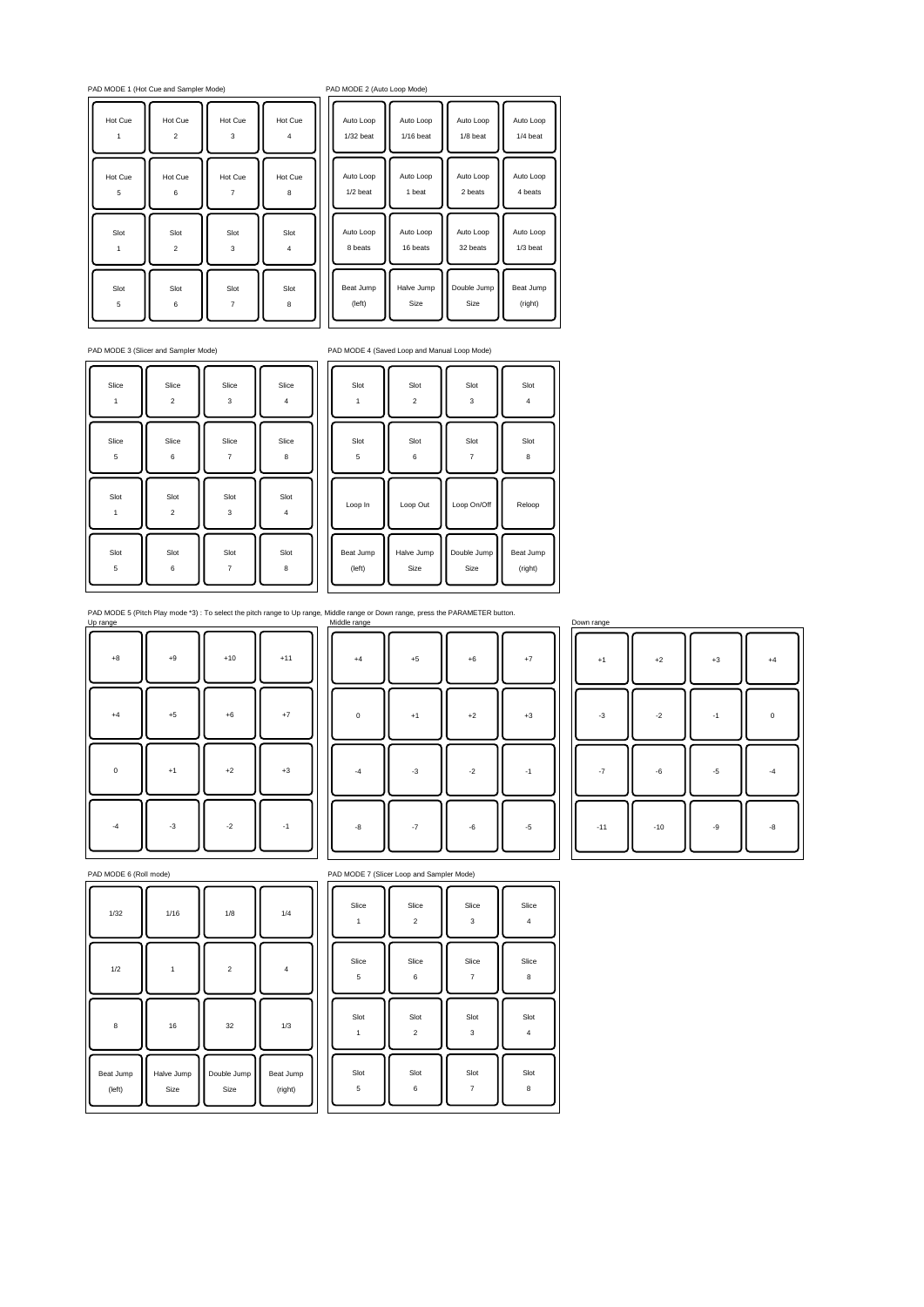PAD MODE 1 (Hot Cue and Sampler Mode) PAD MODE 2 (Hot Cue and Sampler Mode)

| Hot Cue | Hot Cue                 | Hot Cue | Hot Cue |
|---------|-------------------------|---------|---------|
|         | $\overline{\mathbf{c}}$ | 3       | 4       |
| Hot Cue | Hot Cue                 | Hot Cue | Hot Cue |
| 5       | 6                       |         | 8       |
| Slot    | Slot                    | Slot    | Slot    |
|         | $\overline{\mathbf{c}}$ | 3       | 4       |
| Slot    | Slot                    | Slot    | Slot    |
| 5       | 6                       | 7       | 8       |

| AD MODE 2 (Auto Loop Mode) |  |  |  |  |  |  |  |
|----------------------------|--|--|--|--|--|--|--|
|----------------------------|--|--|--|--|--|--|--|

| Auto Loop   | Auto Loop   | Auto Loop   | Auto Loop |
|-------------|-------------|-------------|-----------|
| $1/32$ heat | $1/16$ heat | $1/8$ beat  | 1/4 heat  |
| Auto Loop   | Auto Loop   | Auto Loop   | Auto Loop |
| 1/2 heat    | 1 heat      | 2 heats     | 4 heats   |
| Auto Loop   | Auto Loop   | Auto Loop   | Auto Loop |
| 8 heats     | 16 beats    | 32 heats    | 1/3 beat  |
| Beat Jump   | Halve Jump  | Double Jump | Beat Jump |
| (left)      | <b>Size</b> | <b>Size</b> | (right)   |

| Slice | Slice                   | Slice | Slice      |
|-------|-------------------------|-------|------------|
| 1     | $\overline{\mathbf{c}}$ | 3     | 4          |
| Slice | Slice                   | Slice | Slice      |
| 5     | 6                       | 7     | 8          |
| Slot  | Slot                    | Slot  | Slot       |
| 1     | $\boldsymbol{2}$        | 3     | $\sqrt{4}$ |
| Slot  | Slot                    | Slot  | Slot       |
| 5     | 6                       | 7     | 8          |

PAD MODE 3 (Slicer and Sampler Mode) PAD MODE 4 (Saved Loop and Manual Loop Mode)

| Slot      | Slot                    | Slot        | Slot      |
|-----------|-------------------------|-------------|-----------|
|           | $\overline{\mathbf{c}}$ | 3           | 4         |
| Slot      | Slot                    | Slot        | Slot      |
| 5         | 6                       | 7           | 8         |
| Loop In   | Loop Out                | Loop On/Off | Reloop    |
| Beat Jump | Halve Jump              | Double Jump | Beat Jump |
| (left)    | Size                    | Size        | (right)   |

PAD MODE 5 (Pitch Play mode \*3) : To select the pitch range to Up range, Middle range or Down range, press the PARAMETER button.<br>Up range Middle range or Down range Middle range or Down range or Down range or Down range or

| $^{\rm +8}$ | $\bf{+9}$ | $+10$     | $+11$       |
|-------------|-----------|-----------|-------------|
| $^{\rm +4}$ | $+5$      | $+6$      | $^{\rm +7}$ |
| $\mathbf 0$ | $+1$      | $+2$      | $^{\rm +3}$ |
| $^{\rm -4}$ | $-3$      | $\cdot 2$ | $-1$        |

| $+4$        | $^{\rm +5}$ | $^{\rm +6}$   | $^{\rm +7}$ |
|-------------|-------------|---------------|-------------|
| $\pmb{0}$   | $+1$        | $^{\rm +2}$   | $+3$        |
| $^{\circ4}$ | $^{\circ}3$ | $^{\circ2}$   | $-1$        |
| $^{\circ}8$ | $-7$        | $\textbf{-6}$ | $\text{-}5$ |

+1 **|| +2 || +3 || +4** -3 || -2 || -1 || 0 -7 || -6 || -5 || -4 -11 || -10 || -9 || -8

| PAD MODE 6 (Roll mode) |                    |                     |                      |            | PAD MODE 7 (Slicer Loop and Sampler Mode) |                        |
|------------------------|--------------------|---------------------|----------------------|------------|-------------------------------------------|------------------------|
| 1/32                   | 1/16               | 1/8                 | 1/4                  | Slice<br>1 | Slice<br>$\boldsymbol{2}$                 | Slic<br>$\mathbf 3$    |
| 1/2                    | 1                  | $\overline{c}$      | $\overline{4}$       | Slice<br>5 | Slice<br>6                                | Slic<br>$\overline{7}$ |
| 8                      | $16\,$             | 32                  | 1/3                  | Slot<br>1  | Slot<br>$\overline{a}$                    | Slo<br>$\mathbf{3}$    |
| Beat Jump<br>(left)    | Halve Jump<br>Size | Double Jump<br>Size | Beat Jump<br>(right) | Slot<br>5  | Slot<br>6                                 | Slo<br>$\overline{7}$  |

| Slice | Slice          | Slice          | Slice          |
|-------|----------------|----------------|----------------|
| 1     | 2              | 3              | $\overline{4}$ |
| Slice | Slice          | Slice          | Slice          |
| 5     | 6              | 7              | 8              |
| Slot  | Slot           | Slot           | Slot           |
| 1     | $\overline{c}$ | 3              | 4              |
| Slot  | Slot           | Slot           | Slot           |
| 5     | 6              | $\overline{7}$ | 8              |